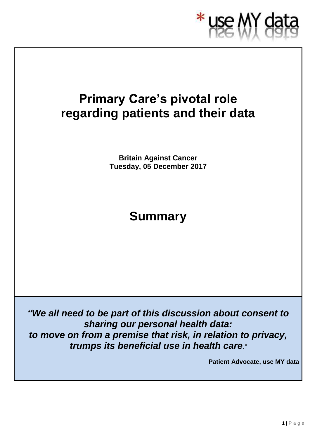

# **Primary Care's pivotal role regarding patients and their data**

**Britain Against Cancer Tuesday, 05 December 2017**

# **Summary**

*"We all need to be part of this discussion about consent to sharing our personal health data: to move on from a premise that risk, in relation to privacy, trumps its beneficial use in health care."*

**Patient Advocate, use MY data**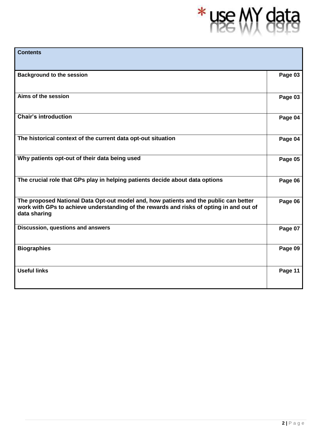# \* use MY data

| <b>Contents</b>                                                                                                                                                                                 |         |
|-------------------------------------------------------------------------------------------------------------------------------------------------------------------------------------------------|---------|
| <b>Background to the session</b>                                                                                                                                                                | Page 03 |
| Aims of the session                                                                                                                                                                             | Page 03 |
| <b>Chair's introduction</b>                                                                                                                                                                     | Page 04 |
| The historical context of the current data opt-out situation                                                                                                                                    | Page 04 |
| Why patients opt-out of their data being used                                                                                                                                                   | Page 05 |
| The crucial role that GPs play in helping patients decide about data options                                                                                                                    | Page 06 |
| The proposed National Data Opt-out model and, how patients and the public can better<br>work with GPs to achieve understanding of the rewards and risks of opting in and out of<br>data sharing | Page 06 |
| Discussion, questions and answers                                                                                                                                                               | Page 07 |
| <b>Biographies</b>                                                                                                                                                                              | Page 09 |
| <b>Useful links</b>                                                                                                                                                                             | Page 11 |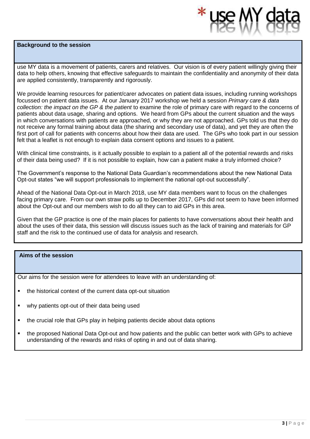#### **Background to the session**



use MY data is a movement of patients, carers and relatives. Our vision is of every patient willingly giving their data to help others, knowing that effective safeguards to maintain the confidentiality and anonymity of their data are applied consistently, transparently and rigorously.

We provide learning resources for patient/carer advocates on patient data issues, including running workshops focussed on patient data issues. At our January 2017 workshop we held a session *Primary care & data collection: the impact on the GP & the patient* to examine the role of primary care with regard to the concerns of patients about data usage, sharing and options. We heard from GPs about the current situation and the ways in which conversations with patients are approached, or why they are not approached. GPs told us that they do not receive any formal training about data (the sharing and secondary use of data), and yet they are often the first port of call for patients with concerns about how their data are used. The GPs who took part in our session felt that a leaflet is not enough to explain data consent options and issues to a patient.

With clinical time constraints, is it actually possible to explain to a patient all of the potential rewards and risks of their data being used? If it is not possible to explain, how can a patient make a truly informed choice?

The Government's response to the National Data Guardian's recommendations about the new National Data Opt-out states "we will support professionals to implement the national opt-out successfully".

Ahead of the National Data Opt-out in March 2018, use MY data members want to focus on the challenges facing primary care. From our own straw polls up to December 2017, GPs did not seem to have been informed about the Opt-out and our members wish to do all they can to aid GPs in this area.

Given that the GP practice is one of the main places for patients to have conversations about their health and about the uses of their data, this session will discuss issues such as the lack of training and materials for GP staff and the risk to the continued use of data for analysis and research.

#### **Aims of the session**

Our aims for the session were for attendees to leave with an understanding of:

- the historical context of the current data opt-out situation
- why patients opt-out of their data being used
- the crucial role that GPs play in helping patients decide about data options
- the proposed National Data Opt-out and how patients and the public can better work with GPs to achieve understanding of the rewards and risks of opting in and out of data sharing.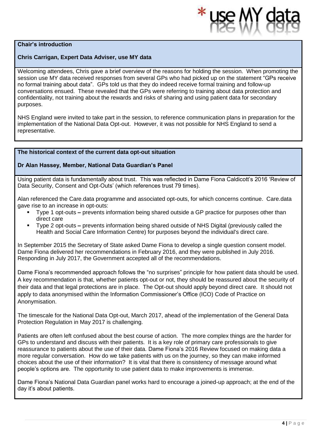#### **Chair's introduction**

#### **Chris Carrigan, Expert Data Adviser, use MY data**

Welcoming attendees, Chris gave a brief overview of the reasons for holding the session. When promoting the session use MY data received responses from several GPs who had picked up on the statement "GPs receive no formal training about data". GPs told us that they do indeed receive formal training and follow-up conversations ensued. These revealed that the GPs were referring to training about data protection and confidentiality, not training about the rewards and risks of sharing and using patient data for secondary purposes.

NHS England were invited to take part in the session, to reference communication plans in preparation for the implementation of the National Data Opt-out. However, it was not possible for NHS England to send a representative.

#### **The historical context of the current data opt-out situation**

#### **Dr Alan Hassey, Member, National Data Guardian's Panel**

Using patient data is fundamentally about trust. This was reflected in Dame Fiona Caldicott's 2016 'Review of Data Security, Consent and Opt-Outs' (which references trust 79 times).

Alan referenced the Care.data programme and associated opt-outs, for which concerns continue. Care.data gave rise to an increase in opt-outs:

- Type 1 opt-outs **–** prevents information being shared outside a GP practice for purposes other than direct care
- Type 2 opt-outs **–** prevents information being shared outside of NHS Digital (previously called the Health and Social Care Information Centre) for purposes beyond the individual's direct care.

In September 2015 the Secretary of State asked Dame Fiona to develop a single question consent model. Dame Fiona delivered her recommendations in February 2016, and they were published in July 2016. Responding in July 2017, the Government accepted all of the recommendations.

Dame Fiona's recommended approach follows the "no surprises" principle for how patient data should be used. A key recommendation is that, whether patients opt-out or not, they should be reassured about the security of their data and that legal protections are in place. The Opt-out should apply beyond direct care. It should not apply to data anonymised within the Information Commissioner's Office (ICO) Code of Practice on Anonymisation.

The timescale for the National Data Opt-out, March 2017, ahead of the implementation of the General Data Protection Regulation in May 2017 is challenging.

Patients are often left confused about the best course of action. The more complex things are the harder for GPs to understand and discuss with their patients. It is a key role of primary care professionals to give reassurance to patients about the use of their data. Dame Fiona's 2016 Review focused on making data a more regular conversation. How do we take patients with us on the journey, so they can make informed choices about the use of their information? It is vital that there is consistency of message around what people's options are. The opportunity to use patient data to make improvements is immense.

Dame Fiona's National Data Guardian panel works hard to encourage a joined-up approach; at the end of the day it's about patients.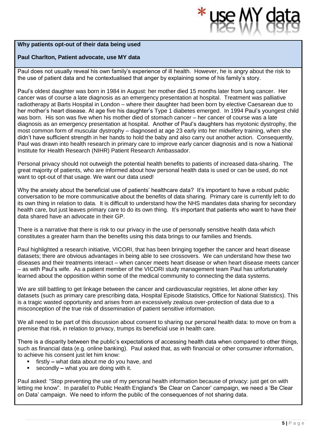#### **Why patients opt-out of their data being used**

#### **Paul Charlton, Patient advocate, use MY data**

Paul does not usually reveal his own family's experience of ill health. However, he is angry about the risk to the use of patient data and he contextualised that anger by explaining some of his family's story.

Paul's oldest daughter was born in 1984 in August: her mother died 15 months later from lung cancer. Her cancer was of course a late diagnosis as an emergency presentation at hospital. Treatment was palliative radiotherapy at Barts Hospital in London – where their daughter had been born by elective Caesarean due to her mother's heart disease. At age five his daughter's Type 1 diabetes emerged. In 1994 Paul's youngest child was born. His son was five when his mother died of stomach cancer – her cancer of course was a late diagnosis as an emergency presentation at hospital. Another of Paul's daughters has myotonic dystrophy, the most common form of muscular dystrophy – diagnosed at age 23 early into her midwifery training, when she didn't have sufficient strength in her hands to hold the baby and also carry out another action. Consequently, Paul was drawn into health research in primary care to improve early cancer diagnosis and is now a National Institute for Health Research (NIHR) Patient Research Ambassador.

Personal privacy should not outweigh the potential health benefits to patients of increased data-sharing. The great majority of patients, who are informed about how personal health data is used or can be used, do not want to opt-out of that usage. We want our data used!

Why the anxiety about the beneficial use of patients' healthcare data? It's important to have a robust public conversation to be more communicative about the benefits of data sharing. Primary care is currently left to do its own thing in relation to data. It is difficult to understand how the NHS mandates data sharing for secondary health care, but just leaves primary care to do its own thing. It's important that patients who want to have their data shared have an advocate in their GP.

There is a narrative that there is risk to our privacy in the use of personally sensitive health data which constitutes a greater harm than the benefits using this data brings to our families and friends.

Paul highlighted a research initiative, VICORI, that has been bringing together the cancer and heart disease datasets; there are obvious advantages in being able to see crossovers. We can understand how these two diseases and their treatments interact – when cancer meets heart disease or when heart disease meets cancer – as with Paul's wife. As a patient member of the VICORI study management team Paul has unfortunately learned about the opposition within some of the medical community to connecting the data systems.

We are still battling to get linkage between the cancer and cardiovascular registries, let alone other key datasets (such as primary care prescribing data, Hospital Episode Statistics, Office for National Statistics). This is a tragic wasted opportunity and arises from an excessively zealous over-protection of data due to a misconception of the true risk of dissemination of patient sensitive information.

We all need to be part of this discussion about consent to sharing our personal health data: to move on from a premise that risk, in relation to privacy, trumps its beneficial use in health care.

There is a disparity between the public's expectations of accessing health data when compared to other things, such as financial data (e.g. online banking). Paul asked that, as with financial or other consumer information, to achieve his consent just let him know:

- firstly what data about me do you have, and
- secondly what you are doing with it.

Paul asked: "Stop preventing the use of my personal health information because of privacy: just get on with letting me know". In parallel to Public Health England's 'Be Clear on Cancer' campaign, we need a 'Be Clear on Data' campaign. We need to inform the public of the consequences of not sharing data.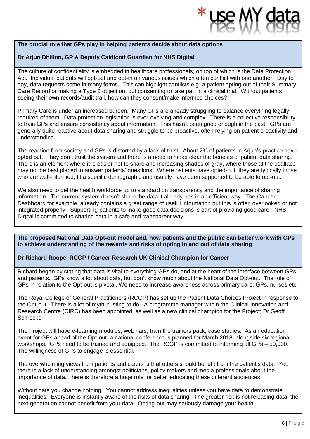#### **The crucial role that GPs play in helping patients decide about data options**

#### **Dr Arjun Dhillon, GP & Deputy Caldicott Guardian for NHS Digital**

The culture of confidentiality is embedded in healthcare professionals, on top of which is the Data Protection Act. Individual patients will opt-out and opt-in on various issues which often conflict with one another. Day to day, data requests come in many forms. This can highlight conflicts e.g. a patient opting out of their Summary Care Record or making a Type 2 objection, but consenting to take part in a clinical trial. Without patients seeing their own records/audit trail, how can they consent/make informed choices?

Primary Care is under an increased burden. Many GPs are already struggling to balance everything legally required of them. Data protection legislation is ever-evolving and complex. There is a collective responsibility to train GPs and ensure consistency about information. This hasn't been good enough in the past. GPs are generally quite reactive about data sharing and struggle to be proactive, often relying on patient proactivity and understanding.

The reaction from society and GPs is distorted by a lack of trust. About 2% of patients in Arjun's practice have opted out. They don't trust the system and there is a need to make clear the benefits of patient data sharing. There is an element where it is easier not to share and increasing shades of gray, where those at the coalface may not be best placed to answer patients' questions. Where patients have opted-out, they are typically those who are well-informed, fit a specific demographic and usually have been supported to be able to opt-out.

We also need to get the health workforce up to standard on transparency and the importance of sharing information. The current system doesn't share the data it already has in an efficient way. The Cancer Dashboard for example, already contains a great range of useful information but this is often overlooked or not integrated properly. Supporting patients to make good data decisions is part of providing good care. NHS Digital is committed to sharing data in a safe and transparent way.

**The proposed National Data Opt-out model and, how patients and the public can better work with GPs to achieve understanding of the rewards and risks of opting in and out of data sharing**

#### **Dr Richard Roope, RCGP / Cancer Research UK Clinical Champion for Cancer**

Richard began by stating that data is vital to everything GPs do, and at the heart of the interface between GPs and patients. GPs know a lot about data, but don't know much about the National Data Opt-out. The role of GPs in relation to the Opt-out is pivotal. We need to increase awareness across primary care: GPs, nurses etc.

The Royal College of General Practitioners (RCGP) has set up the Patient Data Choices Project in response to the Opt-out. There is a lot of myth-busting to do. A programme manager within the Clinical Innovation and Research Centre (CIRC) has been appointed, as well as a new clinical champion for the Project; Dr Geoff Schrecker.

The Project will have e-learning modules, webinars, train the trainers pack, case studies. As an education event for GPs ahead of the Opt-out, a national conference is planned for March 2018, alongside six regional workshops. GPs need to be trained and equipped. The RCGP is committed to informing all GPs – 50,000. The willingness of GPs to engage is essential.

The overwhelming views from patients and carers is that others should benefit from the patient's data. Yet, there is a lack of understanding amongst politicians, policy makers and media professionals about the importance of data. There is therefore a huge role for better educating these different audiences.

Without data you change nothing. You cannot address inequalities unless you have data to demonstrate inequalities. Everyone is instantly aware of the risks of data sharing. The greater risk is not releasing data; the next generation cannot benefit from your data. Opting-out may seriously damage your health.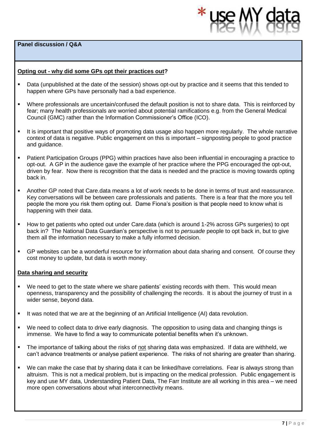**Panel discussion / Q&A** 



#### **Opting out - why did some GPs opt their practices out?**

- Data (unpublished at the date of the session) shows opt-out by practice and it seems that this tended to happen where GPs have personally had a bad experience.
- Where professionals are uncertain/confused the default position is not to share data. This is reinforced by fear; many health professionals are worried about potential ramifications e.g. from the General Medical Council (GMC) rather than the Information Commissioner's Office (ICO).
- It is important that positive ways of promoting data usage also happen more regularly. The whole narrative context of data is negative. Public engagement on this is important – signposting people to good practice and guidance.
- Patient Participation Groups (PPG) within practices have also been influential in encouraging a practice to opt-out. A GP in the audience gave the example of her practice where the PPG encouraged the opt-out, driven by fear. Now there is recognition that the data is needed and the practice is moving towards opting back in.
- Another GP noted that Care, data means a lot of work needs to be done in terms of trust and reassurance. Key conversations will be between care professionals and patients. There is a fear that the more you tell people the more you risk them opting out. Dame Fiona's position is that people need to know what is happening with their data.
- How to get patients who opted out under Care.data (which is around 1-2% across GPs surgeries) to opt back in? The National Data Guardian's perspective is not to *persuade* people to opt back in, but to give them all the information necessary to make a fully informed decision.
- GP websites can be a wonderful resource for information about data sharing and consent. Of course they cost money to update, but data is worth money.

#### **Data sharing and security**

- We need to get to the state where we share patients' existing records with them. This would mean openness, transparency and the possibility of challenging the records. It is about the journey of trust in a wider sense, beyond data.
- It was noted that we are at the beginning of an Artificial Intelligence (AI) data revolution.
- We need to collect data to drive early diagnosis. The opposition to using data and changing things is immense. We have to find a way to communicate potential benefits when it's unknown.
- The importance of talking about the risks of not sharing data was emphasized. If data are withheld, we can't advance treatments or analyse patient experience. The risks of not sharing are greater than sharing.
- We can make the case that by sharing data it can be linked/have correlations. Fear is always strong than altruism. This is not a medical problem, but is impacting on the medical profession. Public engagement is key and use MY data, Understanding Patient Data, The Farr Institute are all working in this area – we need more open conversations about what interconnectivity means.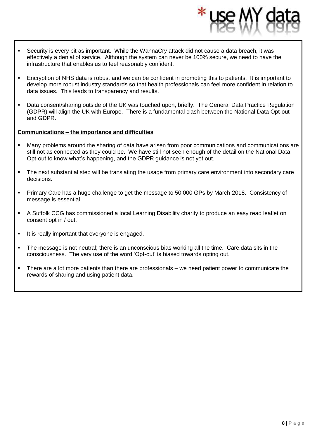- Security is every bit as important. While the WannaCry attack did not cause a data breach, it was effectively a denial of service. Although the system can never be 100% secure, we need to have the infrastructure that enables us to feel reasonably confident.
- Encryption of NHS data is robust and we can be confident in promoting this to patients. It is important to develop more robust industry standards so that health professionals can feel more confident in relation to data issues. This leads to transparency and results.
- **•** Data consent/sharing outside of the UK was touched upon, briefly. The General Data Practice Regulation (GDPR) will align the UK with Europe. There is a fundamental clash between the National Data Opt-out and GDPR.

#### **Communications – the importance and difficulties**

- Many problems around the sharing of data have arisen from poor communications and communications are still not as connected as they could be. We have still not seen enough of the detail on the National Data Opt-out to know what's happening, and the GDPR guidance is not yet out.
- The next substantial step will be translating the usage from primary care environment into secondary care decisions.
- Primary Care has a huge challenge to get the message to 50,000 GPs by March 2018. Consistency of message is essential.
- **•** A Suffolk CCG has commissioned a local Learning Disability charity to produce an easy read leaflet on consent opt in / out.
- **.** It is really important that everyone is engaged.
- The message is not neutral; there is an unconscious bias working all the time. Care.data sits in the consciousness. The very use of the word 'Opt-out' is biased towards opting out.
- **·** There are a lot more patients than there are professionals we need patient power to communicate the rewards of sharing and using patient data.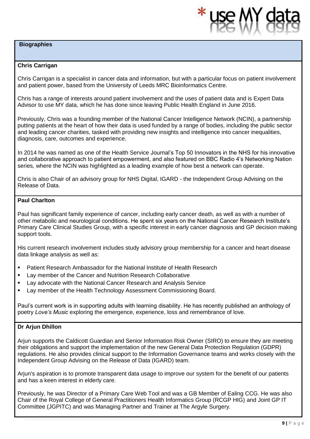#### **Biographies**



#### **Chris Carrigan**

Chris Carrigan is a specialist in cancer data and information, but with a particular focus on patient involvement and patient power, based from the University of Leeds MRC Bioinformatics Centre.

Chris has a range of interests around patient involvement and the uses of patient data and is Expert Data Advisor to use MY data, which he has done since leaving Public Health England in June 2016.

Previously, Chris was a founding member of the National Cancer Intelligence Network (NCIN), a partnership putting patients at the heart of how their data is used funded by a range of bodies, including the public sector and leading cancer charities, tasked with providing new insights and intelligence into cancer inequalities, diagnosis, care, outcomes and experience.

In 2014 he was named as one of the Health Service Journal's Top 50 Innovators in the NHS for his innovative and collaborative approach to patient empowerment, and also featured on BBC Radio 4's Networking Nation series, where the NCIN was highlighted as a leading example of how best a network can operate.

Chris is also Chair of an advisory group for NHS Digital, IGARD - the Independent Group Advising on the Release of Data.

#### **Paul Charlton**

Paul has significant family experience of cancer, including early cancer death, as well as with a number of other metabolic and neurological conditions. He spent six years on the National Cancer Research Institute's Primary Care Clinical Studies Group, with a specific interest in early cancer diagnosis and GP decision making support tools.

His current research involvement includes study advisory group membership for a cancer and heart disease data linkage analysis as well as:

- Patient Research Ambassador for the National Institute of Health Research
- Lay member of the Cancer and Nutrition Research Collaborative
- Lay advocate with the National Cancer Research and Analysis Service
- **■** Lay member of the Health Technology Assessment Commissioning Board.

Paul's current work is in supporting adults with learning disability. He has recently published an anthology of poetry *Love's Music* exploring the emergence, experience, loss and remembrance of love.

#### **Dr Arjun Dhillon**

Arjun supports the Caldicott Guardian and Senior Information Risk Owner (SIRO) to ensure they are meeting their obligations and support the implementation of the new General Data Protection Regulation (GDPR) regulations. He also provides clinical support to the Information Governance teams and works closely with the Independent Group Advising on the Release of Data (IGARD) team.

Arjun's aspiration is to promote transparent data usage to improve our system for the benefit of our patients and has a keen interest in elderly care.

Previously, he was Director of a Primary Care Web Tool and was a GB Member of Ealing CCG. He was also Chair of the Royal College of General Practitioners Health Informatics Group (RCGP HIG) and Joint GP IT Committee (JGPITC) and was Managing Partner and Trainer at The Argyle Surgery.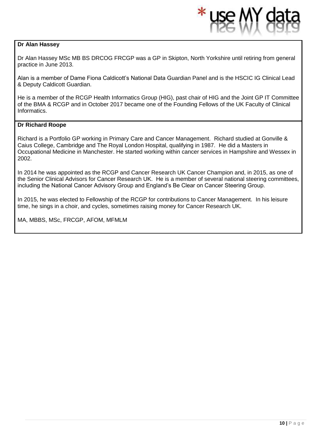#### **Dr Alan Hassey**

Dr Alan Hassey MSc MB BS DRCOG FRCGP was a GP in Skipton, North Yorkshire until retiring from general practice in June 2013.

Alan is a member of Dame Fiona Caldicott's National Data Guardian Panel and is the HSCIC IG Clinical Lead & Deputy Caldicott Guardian.

He is a member of the RCGP Health Informatics Group (HIG), past chair of HIG and the Joint GP IT Committee of the BMA & RCGP and in October 2017 became one of the Founding Fellows of the UK Faculty of Clinical Informatics.

#### **Dr Richard Roope**

Richard is a Portfolio GP working in Primary Care and Cancer Management. Richard studied at Gonville & Caius College, Cambridge and The Royal London Hospital, qualifying in 1987. He did a Masters in Occupational Medicine in Manchester. He started working within cancer services in Hampshire and Wessex in 2002.

In 2014 he was appointed as the RCGP and Cancer Research UK Cancer Champion and, in 2015, as one of the Senior Clinical Advisors for Cancer Research UK. He is a member of several national steering committees, including the National Cancer Advisory Group and England's Be Clear on Cancer Steering Group.

In 2015, he was elected to Fellowship of the RCGP for contributions to Cancer Management. In his leisure time, he sings in a choir, and cycles, sometimes raising money for Cancer Research UK.

MA, MBBS, MSc, FRCGP, AFOM, MFMLM